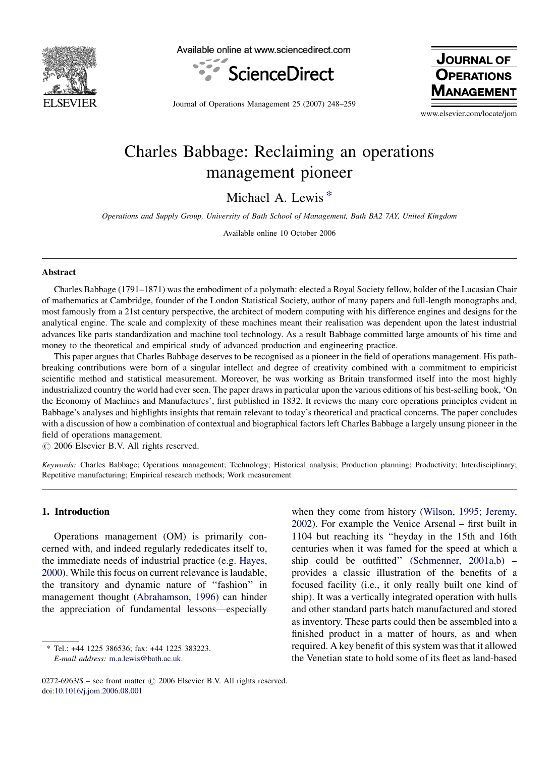

Available online at www.sciencedirect.com



**JOURNAL OF OPERATIONS NAGEMEN** 

Journal of Operations Management 25 (2007) 248–259

www.elsevier.com/locate/jom

# Charles Babbage: Reclaiming an operations management pioneer

Michael A. Lewis \*

Operations and Supply Group, University of Bath School of Management, Bath BA2 7AY, United Kingdom

Available online 10 October 2006

#### Abstract

Charles Babbage (1791–1871) was the embodiment of a polymath: elected a Royal Society fellow, holder of the Lucasian Chair of mathematics at Cambridge, founder of the London Statistical Society, author of many papers and full-length monographs and, most famously from a 21st century perspective, the architect of modern computing with his difference engines and designs for the analytical engine. The scale and complexity of these machines meant their realisation was dependent upon the latest industrial advances like parts standardization and machine tool technology. As a result Babbage committed large amounts of his time and money to the theoretical and empirical study of advanced production and engineering practice.

This paper argues that Charles Babbage deserves to be recognised as a pioneer in the field of operations management. His pathbreaking contributions were born of a singular intellect and degree of creativity combined with a commitment to empiricist scientific method and statistical measurement. Moreover, he was working as Britain transformed itself into the most highly industrialized country the world had ever seen. The paper draws in particular upon the various editions of his best-selling book, 'On the Economy of Machines and Manufactures', first published in 1832. It reviews the many core operations principles evident in Babbage's analyses and highlights insights that remain relevant to today's theoretical and practical concerns. The paper concludes with a discussion of how a combination of contextual and biographical factors left Charles Babbage a largely unsung pioneer in the field of operations management.

 $\odot$  2006 Elsevier B.V. All rights reserved.

Keywords: Charles Babbage; Operations management; Technology; Historical analysis; Production planning; Productivity; Interdisciplinary; Repetitive manufacturing; Empirical research methods; Work measurement

### 1. Introduction

Operations management (OM) is primarily concerned with, and indeed regularly rededicates itself to, the immediate needs of industrial practice (e.g. [Hayes,](#page--1-0) [2000](#page--1-0)). While this focus on current relevance is laudable, the transitory and dynamic nature of ''fashion'' in management thought [\(Abrahamson, 1996\)](#page--1-0) can hinder the appreciation of fundamental lessons—especially when they come from history [\(Wilson, 1995; Jeremy,](#page--1-0) [2002](#page--1-0)). For example the Venice Arsenal – first built in 1104 but reaching its ''heyday in the 15th and 16th centuries when it was famed for the speed at which a ship could be outfitted'' ([Schmenner, 2001a,b\)](#page--1-0) – provides a classic illustration of the benefits of a focused facility (i.e., it only really built one kind of ship). It was a vertically integrated operation with hulls and other standard parts batch manufactured and stored as inventory. These parts could then be assembled into a finished product in a matter of hours, as and when required. A key benefit of this system was that it allowed the Venetian state to hold some of its fleet as land-based

<sup>\*</sup> Tel.: +44 1225 386536; fax: +44 1225 383223. E-mail address: [m.a.lewis@bath.ac.uk.](mailto:m.a.lewis@bath.ac.uk)

 $0272-6963/\$$  – see front matter  $\odot$  2006 Elsevier B.V. All rights reserved. doi:[10.1016/j.jom.2006.08.001](http://dx.doi.org/10.1016/j.jom.2006.08.001)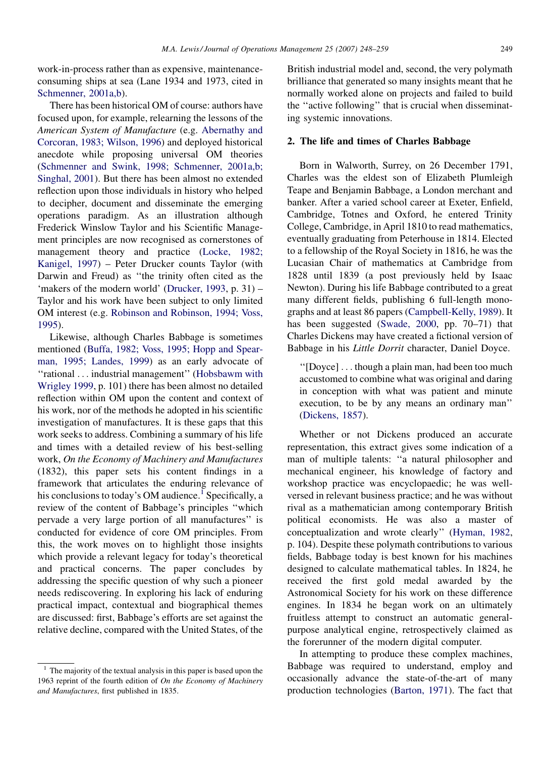work-in-process rather than as expensive, maintenanceconsuming ships at sea (Lane 1934 and 1973, cited in [Schmenner, 2001a,b](#page--1-0)).

There has been historical OM of course: authors have focused upon, for example, relearning the lessons of the American System of Manufacture (e.g. [Abernathy and](#page--1-0) [Corcoran, 1983; Wilson, 1996](#page--1-0)) and deployed historical anecdote while proposing universal OM theories [\(Schmenner and Swink, 1998; Schmenner, 2001a,b;](#page--1-0) [Singhal, 2001\)](#page--1-0). But there has been almost no extended reflection upon those individuals in history who helped to decipher, document and disseminate the emerging operations paradigm. As an illustration although Frederick Winslow Taylor and his Scientific Management principles are now recognised as cornerstones of management theory and practice ([Locke, 1982;](#page--1-0) [Kanigel, 1997\)](#page--1-0) – Peter Drucker counts Taylor (with Darwin and Freud) as ''the trinity often cited as the 'makers of the modern world' ([Drucker, 1993](#page--1-0), p. 31) – Taylor and his work have been subject to only limited OM interest (e.g. [Robinson and Robinson, 1994; Voss,](#page--1-0) [1995\)](#page--1-0).

Likewise, although Charles Babbage is sometimes mentioned ([Buffa, 1982; Voss, 1995; Hopp and Spear](#page--1-0)[man, 1995; Landes, 1999\)](#page--1-0) as an early advocate of ''rational ... industrial management'' ([Hobsbawm with](#page--1-0) [Wrigley 1999,](#page--1-0) p. 101) there has been almost no detailed reflection within OM upon the content and context of his work, nor of the methods he adopted in his scientific investigation of manufactures. It is these gaps that this work seeks to address. Combining a summary of his life and times with a detailed review of his best-selling work, On the Economy of Machinery and Manufactures (1832), this paper sets his content findings in a framework that articulates the enduring relevance of his conclusions to today's OM audience.<sup>1</sup> Specifically, a review of the content of Babbage's principles ''which pervade a very large portion of all manufactures'' is conducted for evidence of core OM principles. From this, the work moves on to highlight those insights which provide a relevant legacy for today's theoretical and practical concerns. The paper concludes by addressing the specific question of why such a pioneer needs rediscovering. In exploring his lack of enduring practical impact, contextual and biographical themes are discussed: first, Babbage's efforts are set against the relative decline, compared with the United States, of the

British industrial model and, second, the very polymath brilliance that generated so many insights meant that he normally worked alone on projects and failed to build the ''active following'' that is crucial when disseminating systemic innovations.

### 2. The life and times of Charles Babbage

Born in Walworth, Surrey, on 26 December 1791, Charles was the eldest son of Elizabeth Plumleigh Teape and Benjamin Babbage, a London merchant and banker. After a varied school career at Exeter, Enfield, Cambridge, Totnes and Oxford, he entered Trinity College, Cambridge, in April 1810 to read mathematics, eventually graduating from Peterhouse in 1814. Elected to a fellowship of the Royal Society in 1816, he was the Lucasian Chair of mathematics at Cambridge from 1828 until 1839 (a post previously held by Isaac Newton). During his life Babbage contributed to a great many different fields, publishing 6 full-length monographs and at least 86 papers ([Campbell-Kelly, 1989](#page--1-0)). It has been suggested ([Swade, 2000](#page--1-0), pp. 70–71) that Charles Dickens may have created a fictional version of Babbage in his Little Dorrit character, Daniel Doyce.

''[Doyce] ... though a plain man, had been too much accustomed to combine what was original and daring in conception with what was patient and minute execution, to be by any means an ordinary man'' [\(Dickens, 1857\)](#page--1-0).

Whether or not Dickens produced an accurate representation, this extract gives some indication of a man of multiple talents: ''a natural philosopher and mechanical engineer, his knowledge of factory and workshop practice was encyclopaedic; he was wellversed in relevant business practice; and he was without rival as a mathematician among contemporary British political economists. He was also a master of conceptualization and wrote clearly'' [\(Hyman, 1982,](#page--1-0) p. 104). Despite these polymath contributions to various fields, Babbage today is best known for his machines designed to calculate mathematical tables. In 1824, he received the first gold medal awarded by the Astronomical Society for his work on these difference engines. In 1834 he began work on an ultimately fruitless attempt to construct an automatic generalpurpose analytical engine, retrospectively claimed as the forerunner of the modern digital computer.

In attempting to produce these complex machines, Babbage was required to understand, employ and occasionally advance the state-of-the-art of many production technologies ([Barton, 1971](#page--1-0)). The fact that

<sup>&</sup>lt;sup>1</sup> The majority of the textual analysis in this paper is based upon the 1963 reprint of the fourth edition of On the Economy of Machinery and Manufactures, first published in 1835.